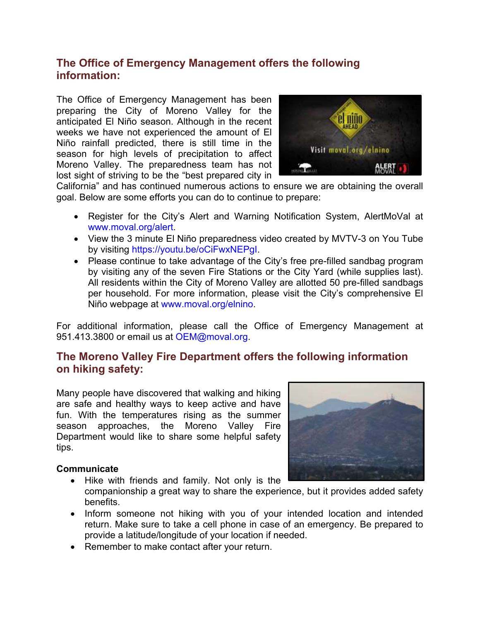# **The Office of Emergency Management offers the following information:**

The Office of Emergency Management has been preparing the City of Moreno Valley for the anticipated El Niño season. Although in the recent weeks we have not experienced the amount of El Niño rainfall predicted, there is still time in the season for high levels of precipitation to affect Moreno Valley. The preparedness team has not lost sight of striving to be the "best prepared city in



California" and has continued numerous actions to ensure we are obtaining the overall goal. Below are some efforts you can do to continue to prepare:

- Register for the City's Alert and Warning Notification System, AlertMoVal at [www.moval.org/alert.](http://www.moval.org/alert)
- View the 3 minute El Niño preparedness video created by MVTV-3 on You Tube by visiting [https://youtu.be/oCiFwxNEPgI.](https://youtu.be/oCiFwxNEPgI)
- Please continue to take advantage of the City's free pre-filled sandbag program by visiting any of the seven Fire Stations or the City Yard (while supplies last). All residents within the City of Moreno Valley are allotted 50 pre-filled sandbags per household. For more information, please visit the City's comprehensive El Niño webpage at [www.moval.org/elnino.](http://www.moval.org/elnino)

For additional information, please call the Office of Emergency Management at 951.413.3800 or email us at [OEM@moval.org.](mailto:OEM@moval.org)

# **The Moreno Valley Fire Department offers the following information on hiking safety:**

Many people have discovered that walking and hiking are safe and healthy ways to keep active and have fun. With the temperatures rising as the summer season approaches, the Moreno Valley Fire Department would like to share some helpful safety tips.

#### **Communicate**

- 
- Hike with friends and family. Not only is the companionship a great way to share the experience, but it provides added safety benefits.
- Inform someone not hiking with you of your intended location and intended return. Make sure to take a cell phone in case of an emergency. Be prepared to provide a latitude/longitude of your location if needed.
- Remember to make contact after your return.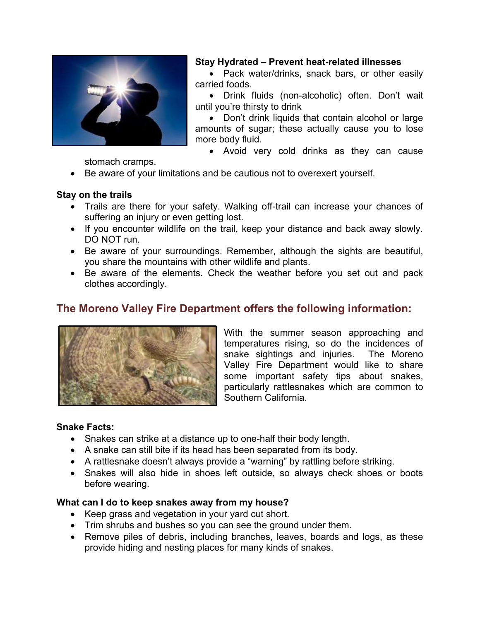

## **Stay Hydrated – Prevent heat-related illnesses**

• Pack water/drinks, snack bars, or other easily carried foods.

 Drink fluids (non-alcoholic) often. Don't wait until you're thirsty to drink

• Don't drink liquids that contain alcohol or large amounts of sugar; these actually cause you to lose more body fluid.

• Avoid very cold drinks as they can cause

stomach cramps.

Be aware of your limitations and be cautious not to overexert yourself.

## **Stay on the trails**

- Trails are there for your safety. Walking off-trail can increase your chances of suffering an injury or even getting lost.
- If you encounter wildlife on the trail, keep your distance and back away slowly. DO NOT run.
- Be aware of your surroundings. Remember, although the sights are beautiful, you share the mountains with other wildlife and plants.
- Be aware of the elements. Check the weather before you set out and pack clothes accordingly.

# **The Moreno Valley Fire Department offers the following information:**



With the summer season approaching and temperatures rising, so do the incidences of snake sightings and injuries. The Moreno Valley Fire Department would like to share some important safety tips about snakes, particularly rattlesnakes which are common to Southern California.

#### **Snake Facts:**

- Snakes can strike at a distance up to one-half their body length.
- A snake can still bite if its head has been separated from its body.
- A rattlesnake doesn't always provide a "warning" by rattling before striking.
- Snakes will also hide in shoes left outside, so always check shoes or boots before wearing.

#### **What can I do to keep snakes away from my house?**

- Keep grass and vegetation in your yard cut short.
- Trim shrubs and bushes so you can see the ground under them.
- Remove piles of debris, including branches, leaves, boards and logs, as these provide hiding and nesting places for many kinds of snakes.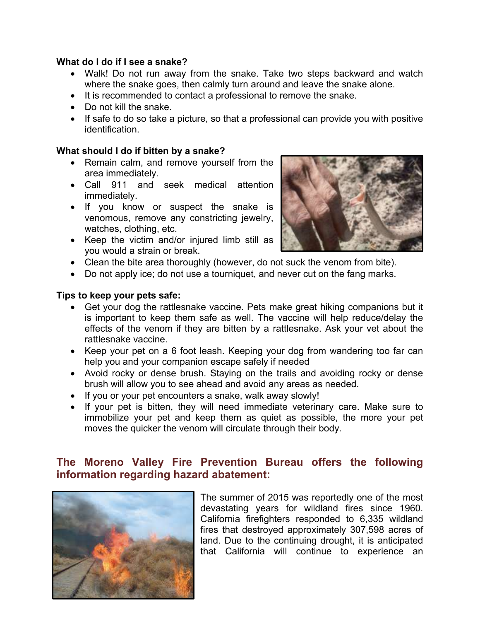## **What do I do if I see a snake?**

- Walk! Do not run away from the snake. Take two steps backward and watch where the snake goes, then calmly turn around and leave the snake alone.
- $\bullet$  It is recommended to contact a professional to remove the snake.
- Do not kill the snake.
- If safe to do so take a picture, so that a professional can provide you with positive identification.

## **What should I do if bitten by a snake?**

- Remain calm, and remove yourself from the area immediately.
- Call 911 and seek medical attention immediately.
- If you know or suspect the snake is venomous, remove any constricting jewelry, watches, clothing, etc.
- Keep the victim and/or injured limb still as you would a strain or break.



- Clean the bite area thoroughly (however, do not suck the venom from bite).
- Do not apply ice; do not use a tourniquet, and never cut on the fang marks.

#### **Tips to keep your pets safe:**

- Get your dog the rattlesnake vaccine. Pets make great hiking companions but it is important to keep them safe as well. The vaccine will help reduce/delay the effects of the venom if they are bitten by a rattlesnake. Ask your vet about the rattlesnake vaccine.
- Keep your pet on a 6 foot leash. Keeping your dog from wandering too far can help you and your companion escape safely if needed
- Avoid rocky or dense brush. Staying on the trails and avoiding rocky or dense brush will allow you to see ahead and avoid any areas as needed.
- If you or your pet encounters a snake, walk away slowly!
- If your pet is bitten, they will need immediate veterinary care. Make sure to immobilize your pet and keep them as quiet as possible, the more your pet moves the quicker the venom will circulate through their body.

# **The Moreno Valley Fire Prevention Bureau offers the following information regarding hazard abatement:**



The summer of 2015 was reportedly one of the most devastating years for wildland fires since 1960. California firefighters responded to 6,335 wildland fires that destroyed approximately 307,598 acres of land. Due to the continuing drought, it is anticipated that California will continue to experience an